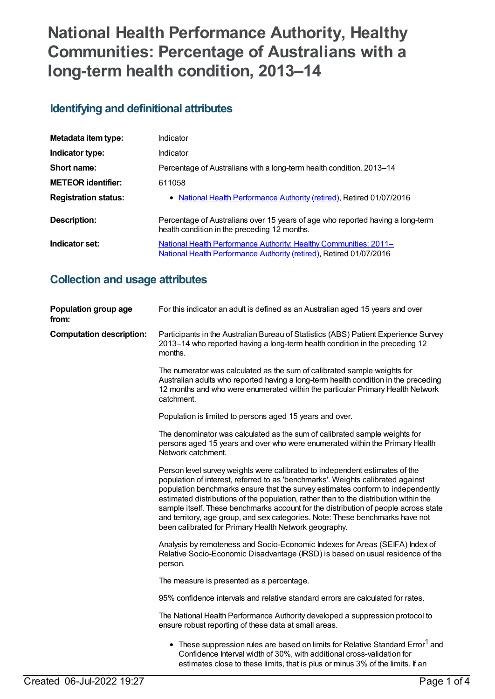# **National Health Performance Authority, Healthy Communities: Percentage of Australians with a long-term health condition, 2013–14**

### **Identifying and definitional attributes**

| Metadata item type:         | Indicator                                                                                                                                |
|-----------------------------|------------------------------------------------------------------------------------------------------------------------------------------|
| Indicator type:             | Indicator                                                                                                                                |
| Short name:                 | Percentage of Australians with a long-term health condition, 2013-14                                                                     |
| <b>METEOR identifier:</b>   | 611058                                                                                                                                   |
| <b>Registration status:</b> | • National Health Performance Authority (retired), Retired 01/07/2016                                                                    |
| Description:                | Percentage of Australians over 15 years of age who reported having a long-term<br>health condition in the preceding 12 months.           |
| Indicator set:              | National Health Performance Authority: Healthy Communities: 2011-<br>National Health Performance Authority (retired), Retired 01/07/2016 |

### **Collection and usage attributes**

| Population group age<br>from:   | For this indicator an adult is defined as an Australian aged 15 years and over                                                                                                                                                                                                                                                                                                                                                                                                                                                                                              |
|---------------------------------|-----------------------------------------------------------------------------------------------------------------------------------------------------------------------------------------------------------------------------------------------------------------------------------------------------------------------------------------------------------------------------------------------------------------------------------------------------------------------------------------------------------------------------------------------------------------------------|
| <b>Computation description:</b> | Participants in the Australian Bureau of Statistics (ABS) Patient Experience Survey<br>2013–14 who reported having a long-term health condition in the preceding 12<br>months.                                                                                                                                                                                                                                                                                                                                                                                              |
|                                 | The numerator was calculated as the sum of calibrated sample weights for<br>Australian adults who reported having a long-term health condition in the preceding<br>12 months and who were enumerated within the particular Primary Health Network<br>catchment.                                                                                                                                                                                                                                                                                                             |
|                                 | Population is limited to persons aged 15 years and over.                                                                                                                                                                                                                                                                                                                                                                                                                                                                                                                    |
|                                 | The denominator was calculated as the sum of calibrated sample weights for<br>persons aged 15 years and over who were enumerated within the Primary Health<br>Network catchment.                                                                                                                                                                                                                                                                                                                                                                                            |
|                                 | Person level survey weights were calibrated to independent estimates of the<br>population of interest, referred to as 'benchmarks'. Weights calibrated against<br>population benchmarks ensure that the survey estimates conform to independently<br>estimated distributions of the population, rather than to the distribution within the<br>sample itself. These benchmarks account for the distribution of people across state<br>and territory, age group, and sex categories. Note: These benchmarks have not<br>been calibrated for Primary Health Network geography. |
|                                 | Analysis by remoteness and Socio-Economic Indexes for Areas (SEIFA) Index of<br>Relative Socio-Economic Disadvantage (IRSD) is based on usual residence of the<br>person.                                                                                                                                                                                                                                                                                                                                                                                                   |
|                                 | The measure is presented as a percentage.                                                                                                                                                                                                                                                                                                                                                                                                                                                                                                                                   |
|                                 | 95% confidence intervals and relative standard errors are calculated for rates.                                                                                                                                                                                                                                                                                                                                                                                                                                                                                             |
|                                 | The National Health Performance Authority developed a suppression protocol to<br>ensure robust reporting of these data at small areas.                                                                                                                                                                                                                                                                                                                                                                                                                                      |
|                                 | • These suppression rules are based on limits for Relative Standard Error <sup>1</sup> and<br>Confidence Interval width of 30%, with additional cross-validation for<br>estimates close to these limits, that is plus or minus 3% of the limits. If an                                                                                                                                                                                                                                                                                                                      |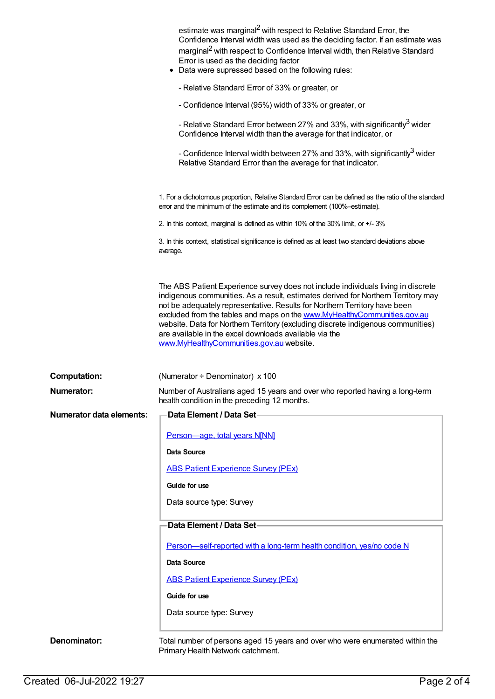|                                 | estimate was marginal <sup>2</sup> with respect to Relative Standard Error, the<br>Confidence Interval width was used as the deciding factor. If an estimate was<br>marginal <sup>2</sup> with respect to Confidence Interval width, then Relative Standard<br>Error is used as the deciding factor<br>• Data were supressed based on the following rules:                                                                                                                                                                 |
|---------------------------------|----------------------------------------------------------------------------------------------------------------------------------------------------------------------------------------------------------------------------------------------------------------------------------------------------------------------------------------------------------------------------------------------------------------------------------------------------------------------------------------------------------------------------|
|                                 | - Relative Standard Error of 33% or greater, or                                                                                                                                                                                                                                                                                                                                                                                                                                                                            |
|                                 | - Confidence Interval (95%) width of 33% or greater, or                                                                                                                                                                                                                                                                                                                                                                                                                                                                    |
|                                 | - Relative Standard Error between 27% and 33%, with significantly <sup>3</sup> wider<br>Confidence Interval width than the average for that indicator, or                                                                                                                                                                                                                                                                                                                                                                  |
|                                 | - Confidence Interval width between 27% and 33%, with significantly <sup>3</sup> wider<br>Relative Standard Error than the average for that indicator.                                                                                                                                                                                                                                                                                                                                                                     |
|                                 | 1. For a dichotomous proportion, Relative Standard Error can be defined as the ratio of the standard<br>error and the minimum of the estimate and its complement (100%-estimate).                                                                                                                                                                                                                                                                                                                                          |
|                                 | 2. In this context, marginal is defined as within 10% of the 30% limit, or +/-3%                                                                                                                                                                                                                                                                                                                                                                                                                                           |
|                                 | 3. In this context, statistical significance is defined as at least two standard deviations above<br>average.                                                                                                                                                                                                                                                                                                                                                                                                              |
|                                 | The ABS Patient Experience survey does not include individuals living in discrete<br>indigenous communities. As a result, estimates derived for Northern Territory may<br>not be adequately representative. Results for Northern Territory have been<br>excluded from the tables and maps on the www.MyHealthyCommunities.gov.au<br>website. Data for Northern Territory (excluding discrete indigenous communities)<br>are available in the excel downloads available via the<br>www.MyHealthyCommunities.gov.au website. |
| <b>Computation:</b>             | (Numerator ÷ Denominator) x 100                                                                                                                                                                                                                                                                                                                                                                                                                                                                                            |
| Numerator:                      | Number of Australians aged 15 years and over who reported having a long-term<br>health condition in the preceding 12 months.                                                                                                                                                                                                                                                                                                                                                                                               |
| <b>Numerator data elements:</b> | Data Element / Data Set-                                                                                                                                                                                                                                                                                                                                                                                                                                                                                                   |
|                                 | Person-age, total years N[NN]                                                                                                                                                                                                                                                                                                                                                                                                                                                                                              |
|                                 | Data Source                                                                                                                                                                                                                                                                                                                                                                                                                                                                                                                |
|                                 | <b>ABS Patient Experience Survey (PEx)</b>                                                                                                                                                                                                                                                                                                                                                                                                                                                                                 |
|                                 | Guide for use                                                                                                                                                                                                                                                                                                                                                                                                                                                                                                              |
|                                 | Data source type: Survey                                                                                                                                                                                                                                                                                                                                                                                                                                                                                                   |
|                                 | Data Element / Data Set                                                                                                                                                                                                                                                                                                                                                                                                                                                                                                    |
|                                 |                                                                                                                                                                                                                                                                                                                                                                                                                                                                                                                            |
|                                 | Person-self-reported with a long-term health condition, yes/no code N                                                                                                                                                                                                                                                                                                                                                                                                                                                      |
|                                 | Data Source                                                                                                                                                                                                                                                                                                                                                                                                                                                                                                                |
|                                 | <b>ABS Patient Experience Survey (PEx)</b>                                                                                                                                                                                                                                                                                                                                                                                                                                                                                 |
|                                 | Guide for use                                                                                                                                                                                                                                                                                                                                                                                                                                                                                                              |
|                                 | Data source type: Survey                                                                                                                                                                                                                                                                                                                                                                                                                                                                                                   |
| Denominator:                    | Total number of persons aged 15 years and over who were enumerated within the<br>Primary Health Network catchment.                                                                                                                                                                                                                                                                                                                                                                                                         |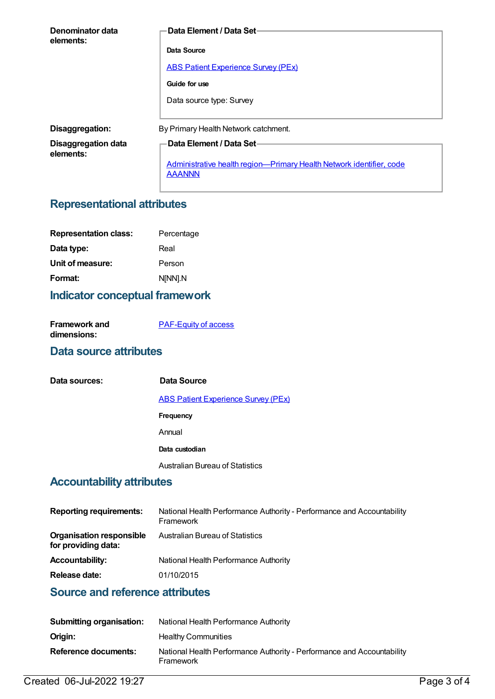| Denominator data<br>elements:           | Data Element / Data Set-                                                              |
|-----------------------------------------|---------------------------------------------------------------------------------------|
|                                         | Data Source                                                                           |
|                                         | <b>ABS Patient Experience Survey (PEx)</b>                                            |
|                                         | Guide for use                                                                         |
|                                         | Data source type: Survey                                                              |
| Disaggregation:                         | By Primary Health Network catchment.                                                  |
| <b>Disaggregation data</b><br>elements: | Data Element / Data Set-                                                              |
|                                         | Administrative health region-Primary Health Network identifier, code<br><b>AAANNN</b> |

## **Representational attributes**

| <b>Representation class:</b> | Percentage |
|------------------------------|------------|
| Data type:                   | Real       |
| Unit of measure:             | Person     |
| Format:                      | N[NN].N    |

#### **Indicator conceptual framework**

| <b>Framework and</b> | <b>PAF-Equity of access</b> |
|----------------------|-----------------------------|
| dimensions:          |                             |

#### **Data source attributes**

| Data sources:                            | Data Source                                |
|------------------------------------------|--------------------------------------------|
|                                          | <b>ABS Patient Experience Survey (PEx)</b> |
|                                          | <b>Frequency</b>                           |
|                                          | Annual                                     |
|                                          | Data custodian                             |
|                                          | <b>Australian Bureau of Statistics</b>     |
| Alala a shekarar 1114 - a titullar sha a |                                            |

#### **Accountability attributes**

| <b>Reporting requirements:</b>                         | National Health Performance Authority - Performance and Accountability<br>Framework |
|--------------------------------------------------------|-------------------------------------------------------------------------------------|
| <b>Organisation responsible</b><br>for providing data: | <b>Australian Bureau of Statistics</b>                                              |
| <b>Accountability:</b>                                 | National Health Performance Authority                                               |
| Release date:                                          | 01/10/2015                                                                          |

#### **Source and reference attributes**

| <b>Submitting organisation:</b> | National Health Performance Authority                                               |
|---------------------------------|-------------------------------------------------------------------------------------|
| Origin:                         | <b>Healthy Communities</b>                                                          |
| Reference documents:            | National Health Performance Authority - Performance and Accountability<br>Framework |